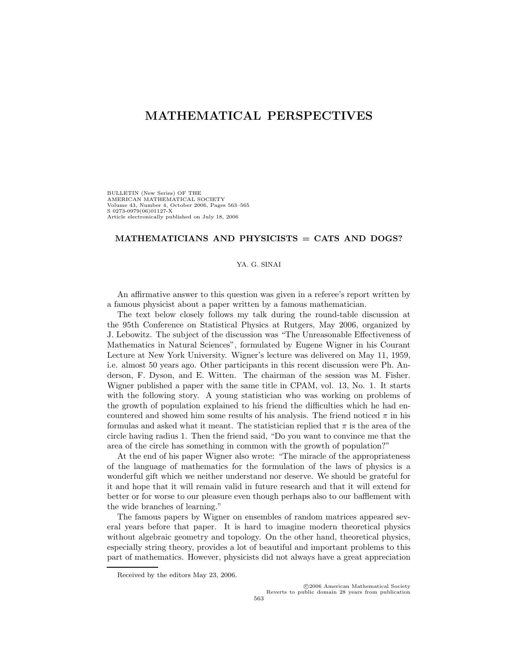## **MATHEMATICAL PERSPECTIVES**

BULLETIN (New Series) OF THE AMERICAN MATHEMATICAL SOCIETY Volume 43, Number 4, October 2006, Pages 563–565 S 0273-0979(06)01127-X Article electronically published on July 18, 2006

## **MATHEMATICIANS AND PHYSICISTS = CATS AND DOGS?**

## YA. G. SINAI

An affirmative answer to this question was given in a referee's report written by a famous physicist about a paper written by a famous mathematician.

The text below closely follows my talk during the round-table discussion at the 95th Conference on Statistical Physics at Rutgers, May 2006, organized by J. Lebowitz. The subject of the discussion was "The Unreasonable Effectiveness of Mathematics in Natural Sciences", formulated by Eugene Wigner in his Courant Lecture at New York University. Wigner's lecture was delivered on May 11, 1959, i.e. almost 50 years ago. Other participants in this recent discussion were Ph. Anderson, F. Dyson, and E. Witten. The chairman of the session was M. Fisher. Wigner published a paper with the same title in CPAM, vol. 13, No. 1. It starts with the following story. A young statistician who was working on problems of the growth of population explained to his friend the difficulties which he had encountered and showed him some results of his analysis. The friend noticed  $\pi$  in his formulas and asked what it meant. The statistician replied that  $\pi$  is the area of the circle having radius 1. Then the friend said, "Do you want to convince me that the area of the circle has something in common with the growth of population?"

At the end of his paper Wigner also wrote: "The miracle of the appropriateness of the language of mathematics for the formulation of the laws of physics is a wonderful gift which we neither understand nor deserve. We should be grateful for it and hope that it will remain valid in future research and that it will extend for better or for worse to our pleasure even though perhaps also to our bafflement with the wide branches of learning."

The famous papers by Wigner on ensembles of random matrices appeared several years before that paper. It is hard to imagine modern theoretical physics without algebraic geometry and topology. On the other hand, theoretical physics, especially string theory, provides a lot of beautiful and important problems to this part of mathematics. However, physicists did not always have a great appreciation

Received by the editors May 23, 2006.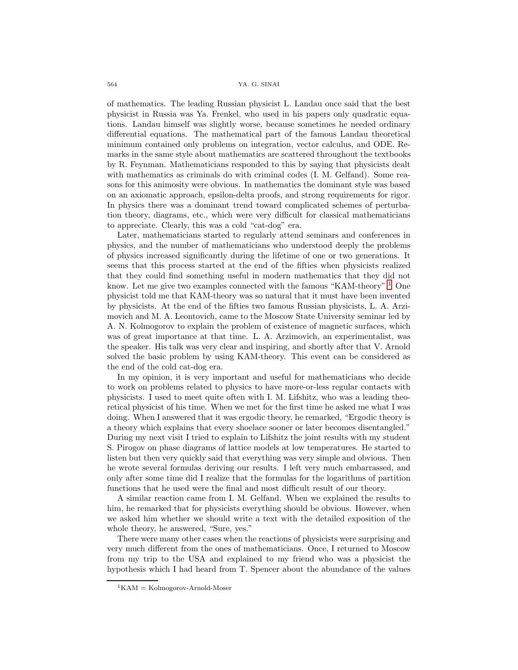of mathematics. The leading Russian physicist L. Landau once said that the best physicist in Russia was Ya. Frenkel, who used in his papers only quadratic equations. Landau himself was slightly worse, because sometimes he needed ordinary differential equations. The mathematical part of the famous Landau theoretical minimum contained only problems on integration, vector calculus, and ODE. Remarks in the same style about mathematics are scattered throughout the textbooks by R. Feynman. Mathematicians responded to this by saying that physicists dealt with mathematics as criminals do with criminal codes  $(I, M, Gelfand)$ . Some reasons for this animosity were obvious. In mathematics the dominant style was based on an axiomatic approach, epsilon-delta proofs, and strong requirements for rigor. In physics there was a dominant trend toward complicated schemes of perturbation theory, diagrams, etc., which were very difficult for classical mathematicians to appreciate. Clearly, this was a cold "cat-dog" era.

Later, mathematicians started to regularly attend seminars and conferences in physics, and the number of mathematicians who understood deeply the problems of physics increased significantly during the lifetime of one or two generations. It seems that this process started at the end of the fifties when physicists realized that they could find something useful in modern mathematics that they did not know. Let me give two examples connected with the famous "KAM-theory".<sup>[1](#page-1-0)</sup> One physicist told me that KAM-theory was so natural that it must have been invented by physicists. At the end of the fifties two famous Russian physicists, L. A. Arzimovich and M. A. Leontovich, came to the Moscow State University seminar led by A. N. Kolmogorov to explain the problem of existence of magnetic surfaces, which was of great importance at that time. L. A. Arzimovich, an experimentalist, was the speaker. His talk was very clear and inspiring, and shortly after that V. Arnold solved the basic problem by using KAM-theory. This event can be considered as the end of the cold cat-dog era.

In my opinion, it is very important and useful for mathematicians who decide to work on problems related to physics to have more-or-less regular contacts with physicists. I used to meet quite often with I. M. Lifshitz, who was a leading theoretical physicist of his time. When we met for the first time he asked me what I was doing. When I answered that it was ergodic theory, he remarked, "Ergodic theory is a theory which explains that every shoelace sooner or later becomes disentangled." During my next visit I tried to explain to Lifshitz the joint results with my student S. Pirogov on phase diagrams of lattice models at low temperatures. He started to listen but then very quickly said that everything was very simple and obvious. Then he wrote several formulas deriving our results. I left very much embarrassed, and only after some time did I realize that the formulas for the logarithms of partition functions that he used were the final and most difficult result of our theory.

A similar reaction came from I. M. Gelfand. When we explained the results to him, he remarked that for physicists everything should be obvious. However, when we asked him whether we should write a text with the detailed exposition of the whole theory, he answered, "Sure, yes."

There were many other cases when the reactions of physicists were surprising and very much different from the ones of mathematicians. Once, I returned to Moscow from my trip to the USA and explained to my friend who was a physicist the hypothesis which I had heard from T. Spencer about the abundance of the values

<span id="page-1-0"></span> ${}^{1}$ KAM = Kolmogorov-Arnold-Moser